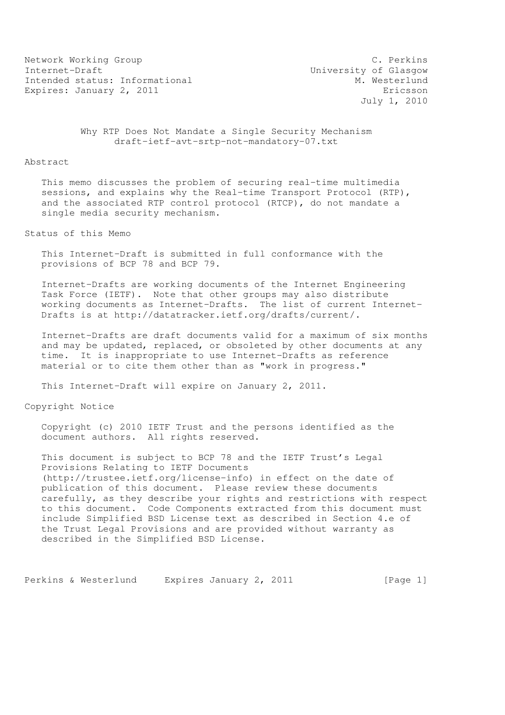Network Working Group C. Perkins Internet-Draft<br>Intended status: Informational M. Westerlund Intended status: Informational Expires: January 2, 2011 **Expires:** Expires:  $\sigma$ 

July 1, 2010

 Why RTP Does Not Mandate a Single Security Mechanism draft-ietf-avt-srtp-not-mandatory-07.txt

## Abstract

 This memo discusses the problem of securing real-time multimedia sessions, and explains why the Real-time Transport Protocol (RTP), and the associated RTP control protocol (RTCP), do not mandate a single media security mechanism.

Status of this Memo

 This Internet-Draft is submitted in full conformance with the provisions of BCP 78 and BCP 79.

 Internet-Drafts are working documents of the Internet Engineering Task Force (IETF). Note that other groups may also distribute working documents as Internet-Drafts. The list of current Internet- Drafts is at http://datatracker.ietf.org/drafts/current/.

 Internet-Drafts are draft documents valid for a maximum of six months and may be updated, replaced, or obsoleted by other documents at any time. It is inappropriate to use Internet-Drafts as reference material or to cite them other than as "work in progress."

This Internet-Draft will expire on January 2, 2011.

Copyright Notice

 Copyright (c) 2010 IETF Trust and the persons identified as the document authors. All rights reserved.

 This document is subject to BCP 78 and the IETF Trust's Legal Provisions Relating to IETF Documents (http://trustee.ietf.org/license-info) in effect on the date of publication of this document. Please review these documents carefully, as they describe your rights and restrictions with respect to this document. Code Components extracted from this document must include Simplified BSD License text as described in Section 4.e of the Trust Legal Provisions and are provided without warranty as described in the Simplified BSD License.

Perkins & Westerlund Expires January 2, 2011 [Page 1]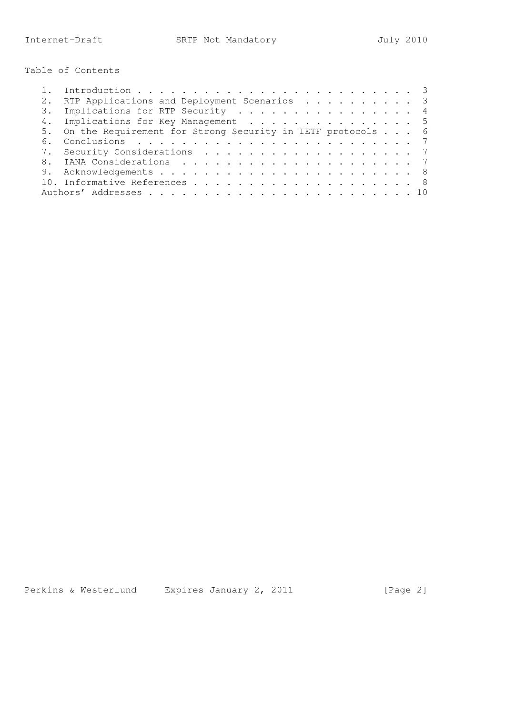Table of Contents

|    | RTP Applications and Deployment Scenarios 3                   |  |
|----|---------------------------------------------------------------|--|
|    | 3. Implications for RTP Security 4                            |  |
|    | 4. Implications for Key Management 5                          |  |
|    | 5. On the Requirement for Strong Security in IETF protocols 6 |  |
| 6. |                                                               |  |
|    | 7. Security Considerations 7                                  |  |
|    |                                                               |  |
|    |                                                               |  |
|    |                                                               |  |
|    |                                                               |  |

Perkins & Westerlund Expires January 2, 2011 [Page 2]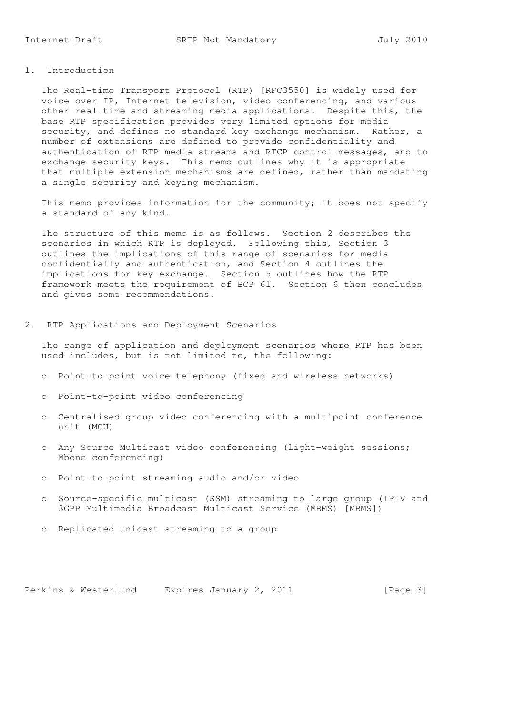## 1. Introduction

 The Real-time Transport Protocol (RTP) [RFC3550] is widely used for voice over IP, Internet television, video conferencing, and various other real-time and streaming media applications. Despite this, the base RTP specification provides very limited options for media security, and defines no standard key exchange mechanism. Rather, a number of extensions are defined to provide confidentiality and authentication of RTP media streams and RTCP control messages, and to exchange security keys. This memo outlines why it is appropriate that multiple extension mechanisms are defined, rather than mandating a single security and keying mechanism.

 This memo provides information for the community; it does not specify a standard of any kind.

 The structure of this memo is as follows. Section 2 describes the scenarios in which RTP is deployed. Following this, Section 3 outlines the implications of this range of scenarios for media confidentially and authentication, and Section 4 outlines the implications for key exchange. Section 5 outlines how the RTP framework meets the requirement of BCP 61. Section 6 then concludes and gives some recommendations.

2. RTP Applications and Deployment Scenarios

 The range of application and deployment scenarios where RTP has been used includes, but is not limited to, the following:

- o Point-to-point voice telephony (fixed and wireless networks)
- o Point-to-point video conferencing
- o Centralised group video conferencing with a multipoint conference unit (MCU)
- o Any Source Multicast video conferencing (light-weight sessions; Mbone conferencing)
- o Point-to-point streaming audio and/or video
- o Source-specific multicast (SSM) streaming to large group (IPTV and 3GPP Multimedia Broadcast Multicast Service (MBMS) [MBMS])
- o Replicated unicast streaming to a group

Perkins & Westerlund Expires January 2, 2011 [Page 3]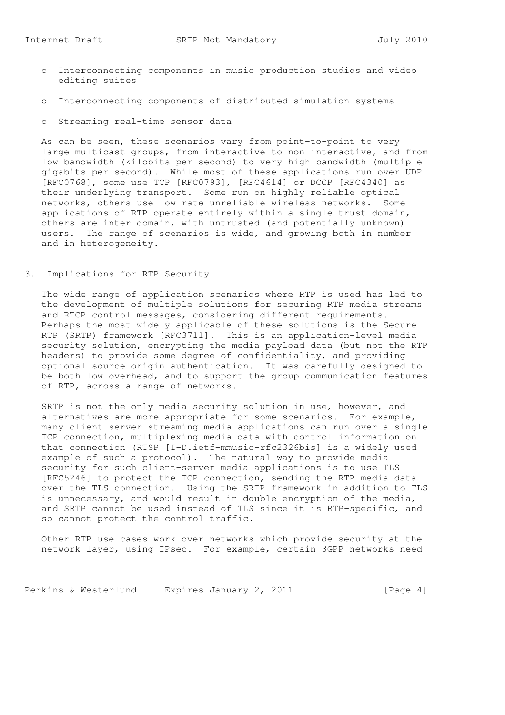- o Interconnecting components in music production studios and video editing suites
- o Interconnecting components of distributed simulation systems
- o Streaming real-time sensor data

 As can be seen, these scenarios vary from point-to-point to very large multicast groups, from interactive to non-interactive, and from low bandwidth (kilobits per second) to very high bandwidth (multiple gigabits per second). While most of these applications run over UDP [RFC0768], some use TCP [RFC0793], [RFC4614] or DCCP [RFC4340] as their underlying transport. Some run on highly reliable optical networks, others use low rate unreliable wireless networks. Some applications of RTP operate entirely within a single trust domain, others are inter-domain, with untrusted (and potentially unknown) users. The range of scenarios is wide, and growing both in number and in heterogeneity.

3. Implications for RTP Security

 The wide range of application scenarios where RTP is used has led to the development of multiple solutions for securing RTP media streams and RTCP control messages, considering different requirements. Perhaps the most widely applicable of these solutions is the Secure RTP (SRTP) framework [RFC3711]. This is an application-level media security solution, encrypting the media payload data (but not the RTP headers) to provide some degree of confidentiality, and providing optional source origin authentication. It was carefully designed to be both low overhead, and to support the group communication features of RTP, across a range of networks.

 SRTP is not the only media security solution in use, however, and alternatives are more appropriate for some scenarios. For example, many client-server streaming media applications can run over a single TCP connection, multiplexing media data with control information on that connection (RTSP [I-D.ietf-mmusic-rfc2326bis] is a widely used example of such a protocol). The natural way to provide media security for such client-server media applications is to use TLS [RFC5246] to protect the TCP connection, sending the RTP media data over the TLS connection. Using the SRTP framework in addition to TLS is unnecessary, and would result in double encryption of the media, and SRTP cannot be used instead of TLS since it is RTP-specific, and so cannot protect the control traffic.

 Other RTP use cases work over networks which provide security at the network layer, using IPsec. For example, certain 3GPP networks need

Perkins & Westerlund Expires January 2, 2011 [Page 4]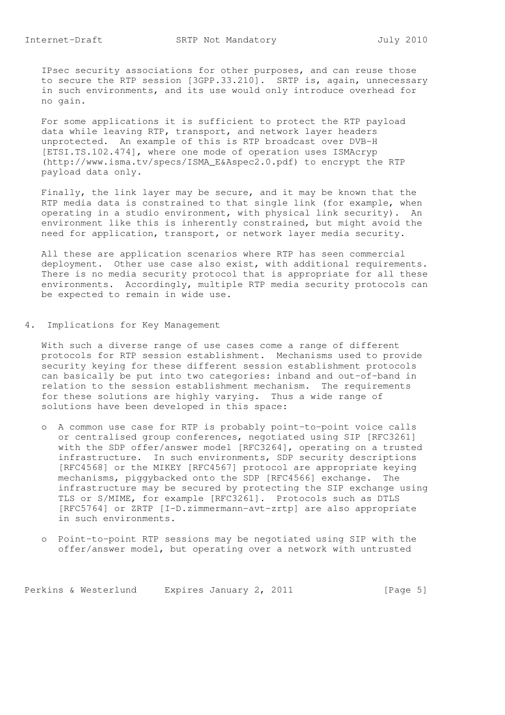IPsec security associations for other purposes, and can reuse those to secure the RTP session [3GPP.33.210]. SRTP is, again, unnecessary in such environments, and its use would only introduce overhead for no gain.

 For some applications it is sufficient to protect the RTP payload data while leaving RTP, transport, and network layer headers unprotected. An example of this is RTP broadcast over DVB-H [ETSI.TS.102.474], where one mode of operation uses ISMAcryp (http://www.isma.tv/specs/ISMA\_E&Aspec2.0.pdf) to encrypt the RTP payload data only.

 Finally, the link layer may be secure, and it may be known that the RTP media data is constrained to that single link (for example, when operating in a studio environment, with physical link security). An environment like this is inherently constrained, but might avoid the need for application, transport, or network layer media security.

 All these are application scenarios where RTP has seen commercial deployment. Other use case also exist, with additional requirements. There is no media security protocol that is appropriate for all these environments. Accordingly, multiple RTP media security protocols can be expected to remain in wide use.

4. Implications for Key Management

 With such a diverse range of use cases come a range of different protocols for RTP session establishment. Mechanisms used to provide security keying for these different session establishment protocols can basically be put into two categories: inband and out-of-band in relation to the session establishment mechanism. The requirements for these solutions are highly varying. Thus a wide range of solutions have been developed in this space:

- o A common use case for RTP is probably point-to-point voice calls or centralised group conferences, negotiated using SIP [RFC3261] with the SDP offer/answer model [RFC3264], operating on a trusted infrastructure. In such environments, SDP security descriptions [RFC4568] or the MIKEY [RFC4567] protocol are appropriate keying mechanisms, piggybacked onto the SDP [RFC4566] exchange. The infrastructure may be secured by protecting the SIP exchange using TLS or S/MIME, for example [RFC3261]. Protocols such as DTLS [RFC5764] or ZRTP [I-D.zimmermann-avt-zrtp] are also appropriate in such environments.
- o Point-to-point RTP sessions may be negotiated using SIP with the offer/answer model, but operating over a network with untrusted

Perkins & Westerlund Expires January 2, 2011 [Page 5]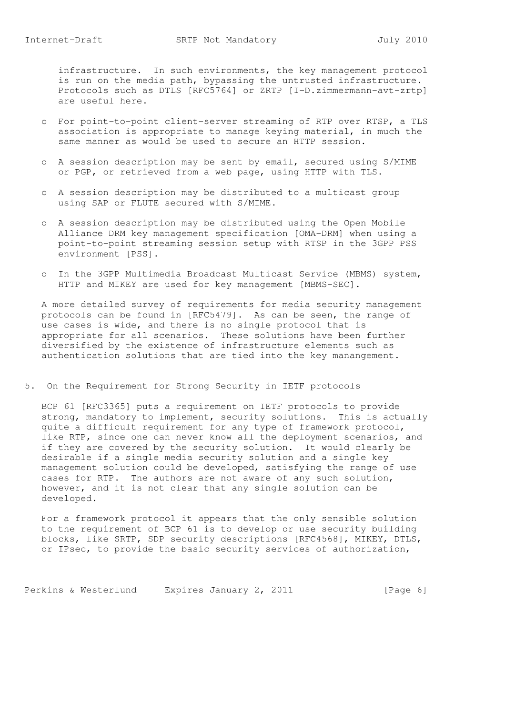infrastructure. In such environments, the key management protocol is run on the media path, bypassing the untrusted infrastructure. Protocols such as DTLS [RFC5764] or ZRTP [I-D.zimmermann-avt-zrtp] are useful here.

- o For point-to-point client-server streaming of RTP over RTSP, a TLS association is appropriate to manage keying material, in much the same manner as would be used to secure an HTTP session.
- o A session description may be sent by email, secured using S/MIME or PGP, or retrieved from a web page, using HTTP with TLS.
- o A session description may be distributed to a multicast group using SAP or FLUTE secured with S/MIME.
- o A session description may be distributed using the Open Mobile Alliance DRM key management specification [OMA-DRM] when using a point-to-point streaming session setup with RTSP in the 3GPP PSS environment [PSS].
- o In the 3GPP Multimedia Broadcast Multicast Service (MBMS) system, HTTP and MIKEY are used for key management [MBMS-SEC].

 A more detailed survey of requirements for media security management protocols can be found in [RFC5479]. As can be seen, the range of use cases is wide, and there is no single protocol that is appropriate for all scenarios. These solutions have been further diversified by the existence of infrastructure elements such as authentication solutions that are tied into the key manangement.

5. On the Requirement for Strong Security in IETF protocols

 BCP 61 [RFC3365] puts a requirement on IETF protocols to provide strong, mandatory to implement, security solutions. This is actually quite a difficult requirement for any type of framework protocol, like RTP, since one can never know all the deployment scenarios, and if they are covered by the security solution. It would clearly be desirable if a single media security solution and a single key management solution could be developed, satisfying the range of use cases for RTP. The authors are not aware of any such solution, however, and it is not clear that any single solution can be developed.

 For a framework protocol it appears that the only sensible solution to the requirement of BCP 61 is to develop or use security building blocks, like SRTP, SDP security descriptions [RFC4568], MIKEY, DTLS, or IPsec, to provide the basic security services of authorization,

Perkins & Westerlund Expires January 2, 2011 [Page 6]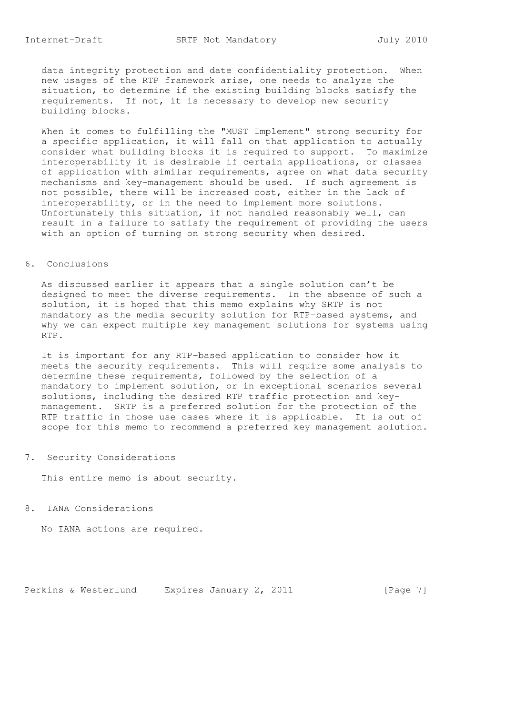data integrity protection and date confidentiality protection. When new usages of the RTP framework arise, one needs to analyze the situation, to determine if the existing building blocks satisfy the requirements. If not, it is necessary to develop new security building blocks.

 When it comes to fulfilling the "MUST Implement" strong security for a specific application, it will fall on that application to actually consider what building blocks it is required to support. To maximize interoperability it is desirable if certain applications, or classes of application with similar requirements, agree on what data security mechanisms and key-management should be used. If such agreement is not possible, there will be increased cost, either in the lack of interoperability, or in the need to implement more solutions. Unfortunately this situation, if not handled reasonably well, can result in a failure to satisfy the requirement of providing the users with an option of turning on strong security when desired.

## 6. Conclusions

 As discussed earlier it appears that a single solution can't be designed to meet the diverse requirements. In the absence of such a solution, it is hoped that this memo explains why SRTP is not mandatory as the media security solution for RTP-based systems, and why we can expect multiple key management solutions for systems using RTP.

 It is important for any RTP-based application to consider how it meets the security requirements. This will require some analysis to determine these requirements, followed by the selection of a mandatory to implement solution, or in exceptional scenarios several solutions, including the desired RTP traffic protection and key management. SRTP is a preferred solution for the protection of the RTP traffic in those use cases where it is applicable. It is out of scope for this memo to recommend a preferred key management solution.

## 7. Security Considerations

This entire memo is about security.

8. IANA Considerations

No IANA actions are required.

Perkins & Westerlund Expires January 2, 2011 [Page 7]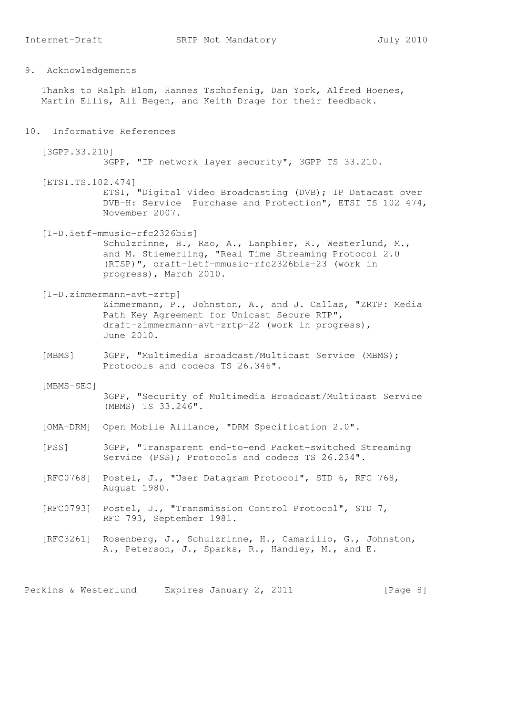Thanks to Ralph Blom, Hannes Tschofenig, Dan York, Alfred Hoenes, Martin Ellis, Ali Begen, and Keith Drage for their feedback.

10. Informative References

[3GPP.33.210]

3GPP, "IP network layer security", 3GPP TS 33.210.

- [ETSI.TS.102.474] ETSI, "Digital Video Broadcasting (DVB); IP Datacast over DVB-H: Service Purchase and Protection", ETSI TS 102 474, November 2007.
- [I-D.ietf-mmusic-rfc2326bis] Schulzrinne, H., Rao, A., Lanphier, R., Westerlund, M., and M. Stiemerling, "Real Time Streaming Protocol 2.0 (RTSP)", draft-ietf-mmusic-rfc2326bis-23 (work in progress), March 2010.
- [I-D.zimmermann-avt-zrtp] Zimmermann, P., Johnston, A., and J. Callas, "ZRTP: Media Path Key Agreement for Unicast Secure RTP", draft-zimmermann-avt-zrtp-22 (work in progress), June 2010.
- [MBMS] 3GPP, "Multimedia Broadcast/Multicast Service (MBMS); Protocols and codecs TS 26.346".
- [MBMS-SEC] 3GPP, "Security of Multimedia Broadcast/Multicast Service (MBMS) TS 33.246".
- [OMA-DRM] Open Mobile Alliance, "DRM Specification 2.0".
- [PSS] 3GPP, "Transparent end-to-end Packet-switched Streaming Service (PSS); Protocols and codecs TS 26.234".
- [RFC0768] Postel, J., "User Datagram Protocol", STD 6, RFC 768, August 1980.
- [RFC0793] Postel, J., "Transmission Control Protocol", STD 7, RFC 793, September 1981.
- [RFC3261] Rosenberg, J., Schulzrinne, H., Camarillo, G., Johnston, A., Peterson, J., Sparks, R., Handley, M., and E.

Perkins & Westerlund Expires January 2, 2011 [Page 8]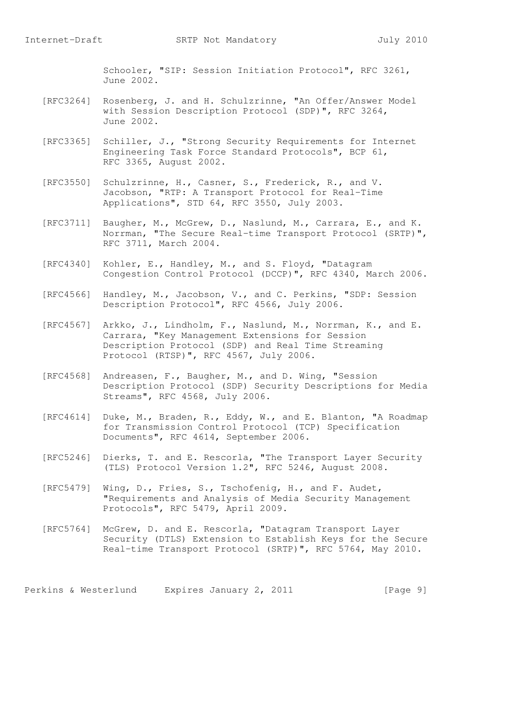Schooler, "SIP: Session Initiation Protocol", RFC 3261, June 2002.

- [RFC3264] Rosenberg, J. and H. Schulzrinne, "An Offer/Answer Model with Session Description Protocol (SDP)", RFC 3264, June 2002.
- [RFC3365] Schiller, J., "Strong Security Requirements for Internet Engineering Task Force Standard Protocols", BCP 61, RFC 3365, August 2002.
- [RFC3550] Schulzrinne, H., Casner, S., Frederick, R., and V. Jacobson, "RTP: A Transport Protocol for Real-Time Applications", STD 64, RFC 3550, July 2003.
- [RFC3711] Baugher, M., McGrew, D., Naslund, M., Carrara, E., and K. Norrman, "The Secure Real-time Transport Protocol (SRTP)", RFC 3711, March 2004.
- [RFC4340] Kohler, E., Handley, M., and S. Floyd, "Datagram Congestion Control Protocol (DCCP)", RFC 4340, March 2006.
- [RFC4566] Handley, M., Jacobson, V., and C. Perkins, "SDP: Session Description Protocol", RFC 4566, July 2006.
- [RFC4567] Arkko, J., Lindholm, F., Naslund, M., Norrman, K., and E. Carrara, "Key Management Extensions for Session Description Protocol (SDP) and Real Time Streaming Protocol (RTSP)", RFC 4567, July 2006.
- [RFC4568] Andreasen, F., Baugher, M., and D. Wing, "Session Description Protocol (SDP) Security Descriptions for Media Streams", RFC 4568, July 2006.
	- [RFC4614] Duke, M., Braden, R., Eddy, W., and E. Blanton, "A Roadmap for Transmission Control Protocol (TCP) Specification Documents", RFC 4614, September 2006.
- [RFC5246] Dierks, T. and E. Rescorla, "The Transport Layer Security (TLS) Protocol Version 1.2", RFC 5246, August 2008.
	- [RFC5479] Wing, D., Fries, S., Tschofenig, H., and F. Audet, "Requirements and Analysis of Media Security Management Protocols", RFC 5479, April 2009.
	- [RFC5764] McGrew, D. and E. Rescorla, "Datagram Transport Layer Security (DTLS) Extension to Establish Keys for the Secure Real-time Transport Protocol (SRTP)", RFC 5764, May 2010.

Perkins & Westerlund Expires January 2, 2011 [Page 9]